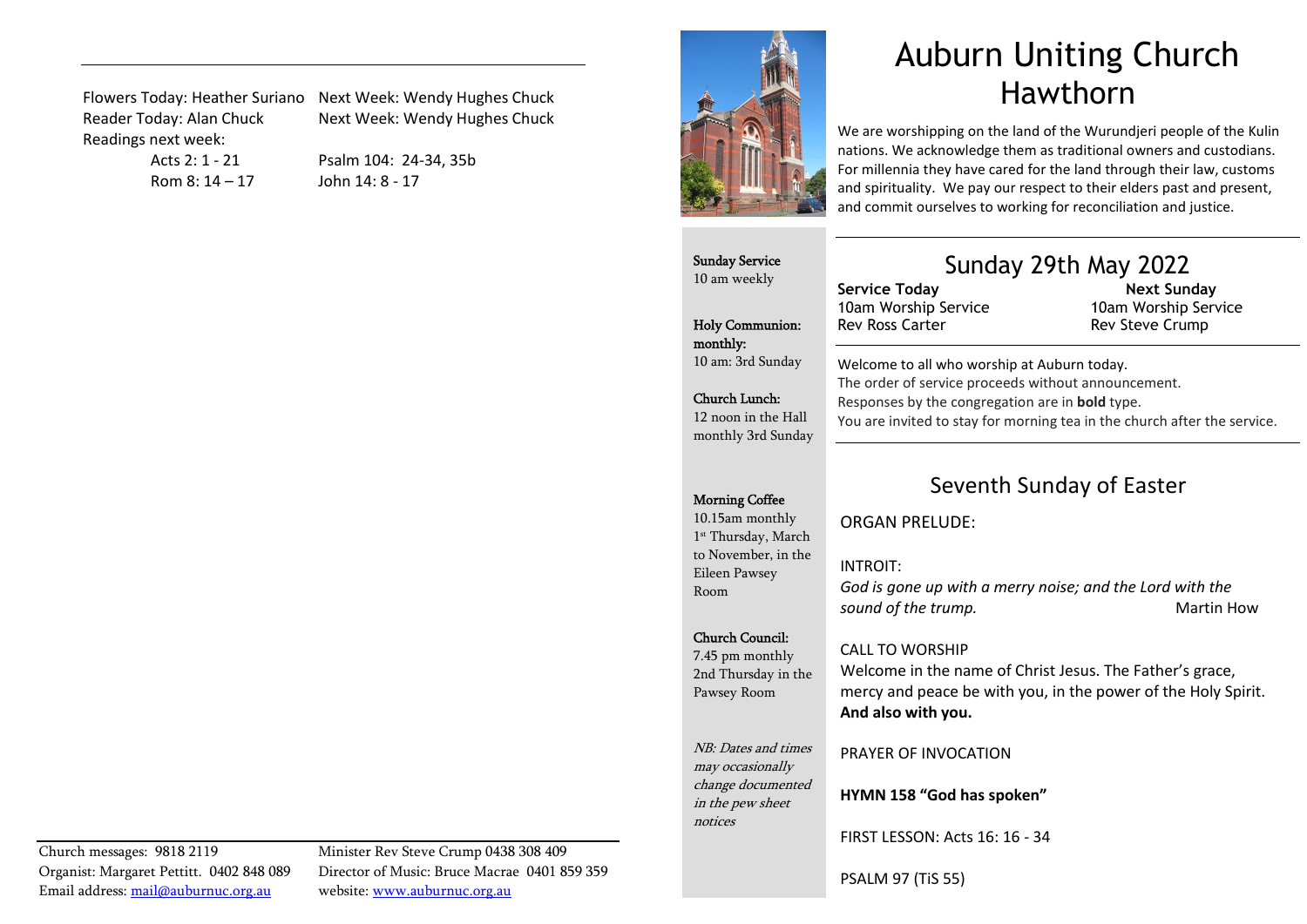Readings next week:

Flowers Today: Heather Suriano Next Week: Wendy Hughes Chuck Reader Today: Alan Chuck Next Week: Wendy Hughes Chuck

Rom 8: 14 – 17 John 14: 8 - 17

Acts 2: 1 - 21 Psalm 104: 24-34, 35b



# Auburn Uniting Church Hawthorn

We are worshipping on the land of the Wurundjeri people of the Kulin nations. We acknowledge them as traditional owners and custodians. For millennia they have cared for the land through their law, customs and spirituality. We pay our respect to their elders past and present, and commit ourselves to working for reconciliation and justice.

Sunday Service 10 am weekly

Holy Communion: monthly: 10 am: 3rd Sunday

Church Lunch: 12 noon in the Hall monthly 3rd Sunday

### Sunday 29th May 2022

10am Worship Service

Welcome to all who worship at Auburn today.

 Next Sunday 10am Worship Service Rev Steve Crump

#### The order of service proceeds without announcement. Responses by the congregation are in bold type. You are invited to stay for morning tea in the church after the service.

#### Morning Coffee

10.15am monthly 1st Thursday, March to November, in the Eileen Pawsey Room

#### Church Council:

7.45 pm monthly 2nd Thursday in the Pawsey Room

NB: Dates and times may occasionally change documented in the pew sheet notices

PRAYER OF INVOCATION

HYMN 158 "God has spoken"

FIRST LESSON: Acts 16: 16 - 34

PSALM 97 (TiS 55)

## Seventh Sunday of Easter

ORGAN PRELUDE:

Service Today

Rev Ross Carter

#### INTROIT:

*God is gone up with a merry noise; and the Lord with the*  **sound of the trump.** The sound of the trump.

#### CALL TO WORSHIP

Welcome in the name of Christ Jesus. The Father's grace, mercy and peace be with you, in the power of the Holy Spirit. And also with you.

Email address: mail@auburnuc.org.au website: www.auburnuc.org.au

Church messages: 9818 2119 Minister Rev Steve Crump 0438 308 409 Organist: Margaret Pettitt. 0402 848 089 Director of Music: Bruce Macrae 0401 859 359